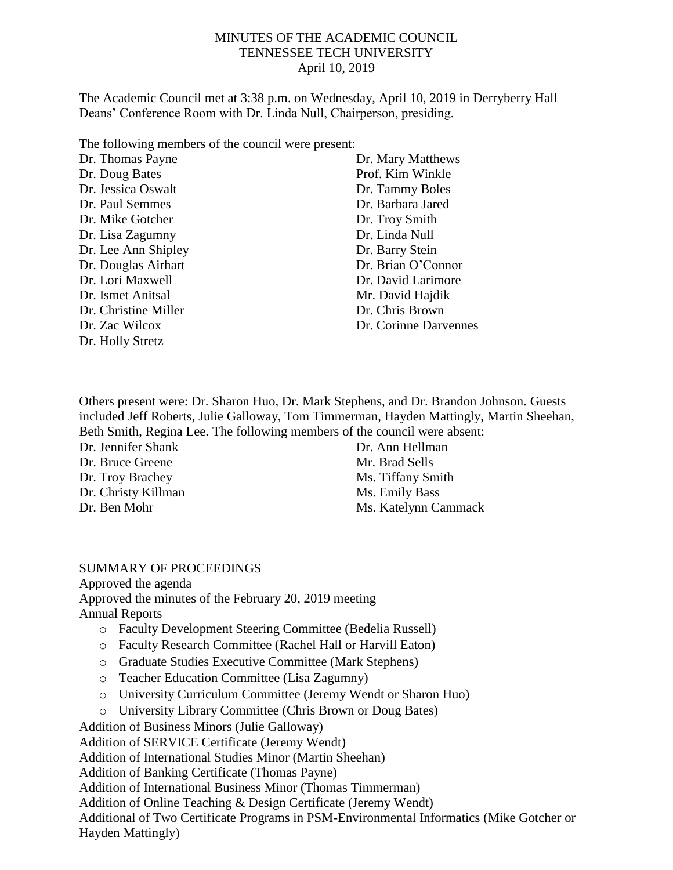## MINUTES OF THE ACADEMIC COUNCIL TENNESSEE TECH UNIVERSITY April 10, 2019

The Academic Council met at 3:38 p.m. on Wednesday, April 10, 2019 in Derryberry Hall Deans' Conference Room with Dr. Linda Null, Chairperson, presiding.

The following members of the council were present:

| Dr. Thomas Payne     | Dr. Mary Matthews     |
|----------------------|-----------------------|
| Dr. Doug Bates       | Prof. Kim Winkle      |
| Dr. Jessica Oswalt   | Dr. Tammy Boles       |
| Dr. Paul Semmes      | Dr. Barbara Jared     |
| Dr. Mike Gotcher     | Dr. Troy Smith        |
| Dr. Lisa Zagumny     | Dr. Linda Null        |
| Dr. Lee Ann Shipley  | Dr. Barry Stein       |
| Dr. Douglas Airhart  | Dr. Brian O'Connor    |
| Dr. Lori Maxwell     | Dr. David Larimore    |
| Dr. Ismet Anitsal    | Mr. David Hajdik      |
| Dr. Christine Miller | Dr. Chris Brown       |
| Dr. Zac Wilcox       | Dr. Corinne Darvennes |
| Dr. Holly Stretz     |                       |

Others present were: Dr. Sharon Huo, Dr. Mark Stephens, and Dr. Brandon Johnson. Guests included Jeff Roberts, Julie Galloway, Tom Timmerman, Hayden Mattingly, Martin Sheehan, Beth Smith, Regina Lee. The following members of the council were absent:

Dr. Jennifer Shank Dr. Bruce Greene Dr. Troy Brachey Dr. Christy Killman Dr. Ben Mohr

Dr. Ann Hellman Mr. Brad Sells Ms. Tiffany Smith Ms. Emily Bass Ms. Katelynn Cammack

## SUMMARY OF PROCEEDINGS

Approved the agenda Approved the minutes of the February 20, 2019 meeting Annual Reports

- o Faculty Development Steering Committee (Bedelia Russell)
- o Faculty Research Committee (Rachel Hall or Harvill Eaton)
- o Graduate Studies Executive Committee (Mark Stephens)
- o Teacher Education Committee (Lisa Zagumny)
- o University Curriculum Committee (Jeremy Wendt or Sharon Huo)
- o University Library Committee (Chris Brown or Doug Bates)

Addition of Business Minors (Julie Galloway)

Addition of SERVICE Certificate (Jeremy Wendt)

Addition of International Studies Minor (Martin Sheehan)

Addition of Banking Certificate (Thomas Payne)

Addition of International Business Minor (Thomas Timmerman)

Addition of Online Teaching & Design Certificate (Jeremy Wendt)

Additional of Two Certificate Programs in PSM-Environmental Informatics (Mike Gotcher or Hayden Mattingly)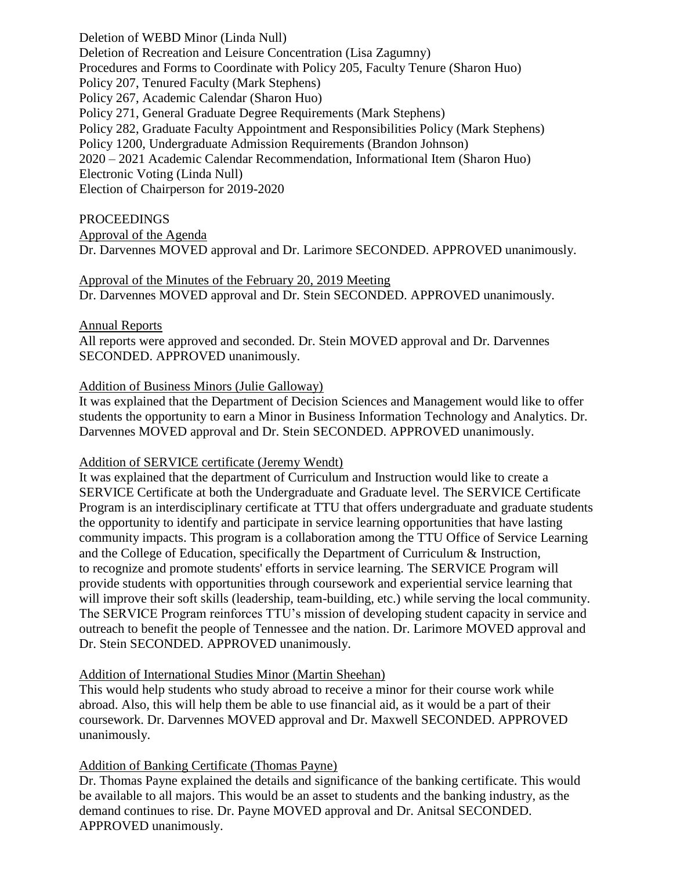Deletion of WEBD Minor (Linda Null) Deletion of Recreation and Leisure Concentration (Lisa Zagumny) Procedures and Forms to Coordinate with Policy 205, Faculty Tenure (Sharon Huo) Policy 207, Tenured Faculty (Mark Stephens) Policy 267, Academic Calendar (Sharon Huo) Policy 271, General Graduate Degree Requirements (Mark Stephens) Policy 282, Graduate Faculty Appointment and Responsibilities Policy (Mark Stephens) Policy 1200, Undergraduate Admission Requirements (Brandon Johnson) 2020 – 2021 Academic Calendar Recommendation, Informational Item (Sharon Huo) Electronic Voting (Linda Null) Election of Chairperson for 2019-2020

#### PROCEEDINGS

Approval of the Agenda

Dr. Darvennes MOVED approval and Dr. Larimore SECONDED. APPROVED unanimously.

#### Approval of the Minutes of the February 20, 2019 Meeting

Dr. Darvennes MOVED approval and Dr. Stein SECONDED. APPROVED unanimously.

#### Annual Reports

All reports were approved and seconded. Dr. Stein MOVED approval and Dr. Darvennes SECONDED. APPROVED unanimously.

#### Addition of Business Minors (Julie Galloway)

It was explained that the Department of Decision Sciences and Management would like to offer students the opportunity to earn a Minor in Business Information Technology and Analytics. Dr. Darvennes MOVED approval and Dr. Stein SECONDED. APPROVED unanimously.

#### Addition of SERVICE certificate (Jeremy Wendt)

It was explained that the department of Curriculum and Instruction would like to create a SERVICE Certificate at both the Undergraduate and Graduate level. The SERVICE Certificate Program is an interdisciplinary certificate at TTU that offers undergraduate and graduate students the opportunity to identify and participate in service learning opportunities that have lasting community impacts. This program is a collaboration among the TTU Office of Service Learning and the College of Education, specifically the Department of Curriculum & Instruction, to recognize and promote students' efforts in service learning. The SERVICE Program will provide students with opportunities through coursework and experiential service learning that will improve their soft skills (leadership, team-building, etc.) while serving the local community. The SERVICE Program reinforces TTU's mission of developing student capacity in service and outreach to benefit the people of Tennessee and the nation. Dr. Larimore MOVED approval and Dr. Stein SECONDED. APPROVED unanimously.

## Addition of International Studies Minor (Martin Sheehan)

This would help students who study abroad to receive a minor for their course work while abroad. Also, this will help them be able to use financial aid, as it would be a part of their coursework. Dr. Darvennes MOVED approval and Dr. Maxwell SECONDED. APPROVED unanimously.

# Addition of Banking Certificate (Thomas Payne)

Dr. Thomas Payne explained the details and significance of the banking certificate. This would be available to all majors. This would be an asset to students and the banking industry, as the demand continues to rise. Dr. Payne MOVED approval and Dr. Anitsal SECONDED. APPROVED unanimously.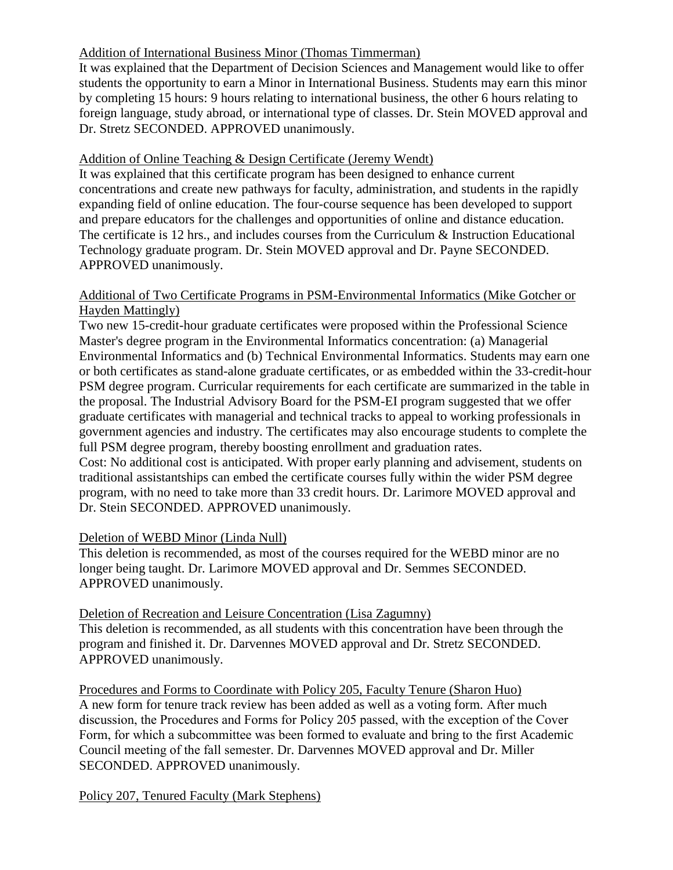# Addition of International Business Minor (Thomas Timmerman)

It was explained that the Department of Decision Sciences and Management would like to offer students the opportunity to earn a Minor in International Business. Students may earn this minor by completing 15 hours: 9 hours relating to international business, the other 6 hours relating to foreign language, study abroad, or international type of classes. Dr. Stein MOVED approval and Dr. Stretz SECONDED. APPROVED unanimously.

# Addition of Online Teaching & Design Certificate (Jeremy Wendt)

It was explained that this certificate program has been designed to enhance current concentrations and create new pathways for faculty, administration, and students in the rapidly expanding field of online education. The four-course sequence has been developed to support and prepare educators for the challenges and opportunities of online and distance education. The certificate is 12 hrs., and includes courses from the Curriculum & Instruction Educational Technology graduate program. Dr. Stein MOVED approval and Dr. Payne SECONDED. APPROVED unanimously.

## Additional of Two Certificate Programs in PSM-Environmental Informatics (Mike Gotcher or Hayden Mattingly)

Two new 15-credit-hour graduate certificates were proposed within the Professional Science Master's degree program in the Environmental Informatics concentration: (a) Managerial Environmental Informatics and (b) Technical Environmental Informatics. Students may earn one or both certificates as stand-alone graduate certificates, or as embedded within the 33-credit-hour PSM degree program. Curricular requirements for each certificate are summarized in the table in the proposal. The Industrial Advisory Board for the PSM-EI program suggested that we offer graduate certificates with managerial and technical tracks to appeal to working professionals in government agencies and industry. The certificates may also encourage students to complete the full PSM degree program, thereby boosting enrollment and graduation rates.

Cost: No additional cost is anticipated. With proper early planning and advisement, students on traditional assistantships can embed the certificate courses fully within the wider PSM degree program, with no need to take more than 33 credit hours. Dr. Larimore MOVED approval and Dr. Stein SECONDED. APPROVED unanimously.

## Deletion of WEBD Minor (Linda Null)

This deletion is recommended, as most of the courses required for the WEBD minor are no longer being taught. Dr. Larimore MOVED approval and Dr. Semmes SECONDED. APPROVED unanimously.

## Deletion of Recreation and Leisure Concentration (Lisa Zagumny)

This deletion is recommended, as all students with this concentration have been through the program and finished it. Dr. Darvennes MOVED approval and Dr. Stretz SECONDED. APPROVED unanimously.

Procedures and Forms to Coordinate with Policy 205, Faculty Tenure (Sharon Huo) A new form for tenure track review has been added as well as a voting form. After much discussion, the Procedures and Forms for Policy 205 passed, with the exception of the Cover Form, for which a subcommittee was been formed to evaluate and bring to the first Academic Council meeting of the fall semester. Dr. Darvennes MOVED approval and Dr. Miller SECONDED. APPROVED unanimously.

Policy 207, Tenured Faculty (Mark Stephens)